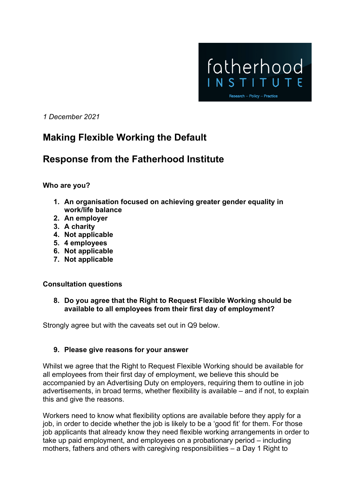

*1 December 2021*

# **Making Flexible Working the Default**

# **Response from the Fatherhood Institute**

**Who are you?**

- **1. An organisation focused on achieving greater gender equality in work/life balance**
- **2. An employer**
- **3. A charity**
- **4. Not applicable**
- **5. 4 employees**
- **6. Not applicable**
- **7. Not applicable**

## **Consultation questions**

**8. Do you agree that the Right to Request Flexible Working should be available to all employees from their first day of employment?**

Strongly agree but with the caveats set out in Q9 below.

## **9. Please give reasons for your answer**

Whilst we agree that the Right to Request Flexible Working should be available for all employees from their first day of employment, we believe this should be accompanied by an Advertising Duty on employers, requiring them to outline in job advertisements, in broad terms, whether flexibility is available – and if not, to explain this and give the reasons.

Workers need to know what flexibility options are available before they apply for a job, in order to decide whether the job is likely to be a 'good fit' for them. For those job applicants that already know they need flexible working arrangements in order to take up paid employment, and employees on a probationary period – including mothers, fathers and others with caregiving responsibilities – a Day 1 Right to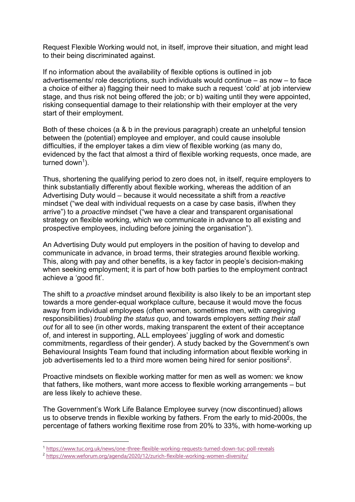Request Flexible Working would not, in itself, improve their situation, and might lead to their being discriminated against.

If no information about the availability of flexible options is outlined in job advertisements/ role descriptions, such individuals would continue – as now – to face a choice of either a) flagging their need to make such a request 'cold' at job interview stage, and thus risk not being offered the job; or b) waiting until they were appointed, risking consequential damage to their relationship with their employer at the very start of their employment.

Both of these choices (a & b in the previous paragraph) create an unhelpful tension between the (potential) employee and employer, and could cause insoluble difficulties, if the employer takes a dim view of flexible working (as many do, evidenced by the fact that almost a third of flexible working requests, once made, are turned down<sup>1</sup>).

Thus, shortening the qualifying period to zero does not, in itself, require employers to think substantially differently about flexible working, whereas the addition of an Advertising Duty would – because it would necessitate a shift from a *reactive* mindset ("we deal with individual requests on a case by case basis, if/when they arrive") to a *proactive* mindset ("we have a clear and transparent organisational strategy on flexible working, which we communicate in advance to all existing and prospective employees, including before joining the organisation").

An Advertising Duty would put employers in the position of having to develop and communicate in advance, in broad terms, their strategies around flexible working. This, along with pay and other benefits, is a key factor in people's decision-making when seeking employment; it is part of how both parties to the employment contract achieve a 'good fit'.

The shift to a *proactive* mindset around flexibility is also likely to be an important step towards a more gender-equal workplace culture, because it would move the focus away from individual employees (often women, sometimes men, with caregiving responsibilities) *troubling the status quo*, and towards employers *setting their stall out* for all to see (in other words, making transparent the extent of their acceptance of, and interest in supporting, ALL employees' juggling of work and domestic commitments, regardless of their gender). A study backed by the Government's own Behavioural Insights Team found that including information about flexible working in job advertisements led to a third more women being hired for senior positions<sup>2</sup>.

Proactive mindsets on flexible working matter for men as well as women: we know that fathers, like mothers, want more access to flexible working arrangements – but are less likely to achieve these.

The Government's Work Life Balance Employee survey (now discontinued) allows us to observe trends in flexible working by fathers. From the early to mid-2000s, the percentage of fathers working flexitime rose from 20% to 33%, with home-working up

<sup>1</sup> https://www.tuc.org.uk/news/one-three-flexible-working-requests-turned-down-tuc-poll-reveals

<sup>2</sup> https://www.weforum.org/agenda/2020/12/zurich-flexible-working-women-diversity/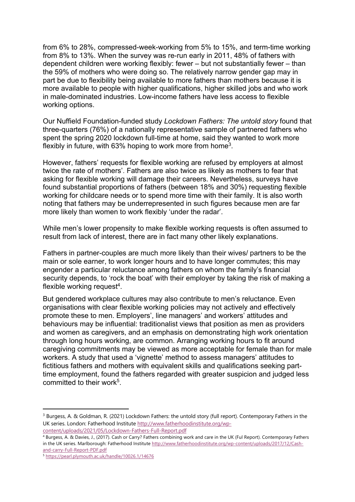from 6% to 28%, compressed-week-working from 5% to 15%, and term-time working from 8% to 13%. When the survey was re-run early in 2011, 48% of fathers with dependent children were working flexibly: fewer – but not substantially fewer – than the 59% of mothers who were doing so. The relatively narrow gender gap may in part be due to flexibility being available to more fathers than mothers because it is more available to people with higher qualifications, higher skilled jobs and who work in male-dominated industries. Low-income fathers have less access to flexible working options.

Our Nuffield Foundation-funded study *Lockdown Fathers: The untold story* found that three-quarters (76%) of a nationally representative sample of partnered fathers who spent the spring 2020 lockdown full-time at home, said they wanted to work more flexibly in future, with  $63\%$  hoping to work more from home<sup>3</sup>.

However, fathers' requests for flexible working are refused by employers at almost twice the rate of mothers'. Fathers are also twice as likely as mothers to fear that asking for flexible working will damage their careers. Nevertheless, surveys have found substantial proportions of fathers (between 18% and 30%) requesting flexible working for childcare needs or to spend more time with their family. It is also worth noting that fathers may be underrepresented in such figures because men are far more likely than women to work flexibly 'under the radar'.

While men's lower propensity to make flexible working requests is often assumed to result from lack of interest, there are in fact many other likely explanations.

Fathers in partner-couples are much more likely than their wives/ partners to be the main or sole earner, to work longer hours and to have longer commutes; this may engender a particular reluctance among fathers on whom the family's financial security depends, to 'rock the boat' with their employer by taking the risk of making a flexible working request<sup>4</sup>.

But gendered workplace cultures may also contribute to men's reluctance. Even organisations with clear flexible working policies may not actively and effectively promote these to men. Employers', line managers' and workers' attitudes and behaviours may be influential: traditionalist views that position as men as providers and women as caregivers, and an emphasis on demonstrating high work orientation through long hours working, are common. Arranging working hours to fit around caregiving commitments may be viewed as more acceptable for female than for male workers. A study that used a 'vignette' method to assess managers' attitudes to fictitious fathers and mothers with equivalent skills and qualifications seeking parttime employment, found the fathers regarded with greater suspicion and judged less committed to their work<sup>5</sup>.

<sup>&</sup>lt;sup>3</sup> Burgess, A. & Goldman, R. (2021) Lockdown Fathers: the untold story (full report). Contemporary Fathers in the UK series. London: Fatherhood Institute http://www.fatherhoodinstitute.org/wp-

content/uploads/2021/05/Lockdown-Fathers-Full-Report.pdf<br><sup>4</sup> Burgess, A. & Davies, J., (2017). Cash or Carry? Fathers combining work and care in the UK (Ful Report). Contemporary Fathers in the UK series. Marlborough: Fatherhood Institute http://www.fatherhoodinstitute.org/wp-content/uploads/2017/12/Cashand-carry-Full-Report-PDF.pdf<br><sup>5</sup> https://pearl.plymouth.ac.uk/handle/10026.1/14676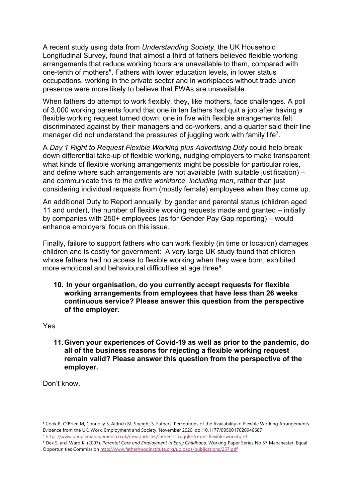A recent study using data from *Understanding Society*, the UK Household Longitudinal Survey, found that almost a third of fathers believed flexible working arrangements that reduce working hours are unavailable to them, compared with one-tenth of mothers<sup>6</sup>. Fathers with lower education levels, in lower status occupations, working in the private sector and in workplaces without trade union presence were more likely to believe that FWAs are unavailable.

When fathers do attempt to work flexibly, they, like mothers, face challenges. A poll of 3,000 working parents found that one in ten fathers had quit a job after having a flexible working request turned down; one in five with flexible arrangements felt discriminated against by their managers and co-workers, and a quarter said their line manager did not understand the pressures of juggling work with family life<sup>7</sup>.

A *Day 1 Right to Request Flexible Working plus Advertising Duty* could help break down differential take-up of flexible working, nudging employers to make transparent what kinds of flexible working arrangements might be possible for particular roles, and define where such arrangements are not available (with suitable justification) – and communicate this *to the entire workforce, including men*, rather than just considering individual requests from (mostly female) employees when they come up.

An additional Duty to Report annually, by gender and parental status (children aged 11 and under), the number of flexible working requests made and granted – initially by companies with 250+ employees (as for Gender Pay Gap reporting) – would enhance employers' focus on this issue.

Finally, failure to support fathers who can work flexibly (in time or location) damages children and is costly for government: A very large UK study found that children whose fathers had no access to flexible working when they were born, exhibited more emotional and behavioural difficulties at age three<sup>8</sup>.

**10. In your organisation, do you currently accept requests for flexible working arrangements from employees that have less than 26 weeks continuous service? Please answer this question from the perspective of the employer.**

Yes

**11.Given your experiences of Covid-19 as well as prior to the pandemic, do all of the business reasons for rejecting a flexible working request remain valid? Please answer this question from the perspective of the employer.**

Don't know.

<sup>6</sup> Cook R, O'Brien M, Connolly S, Aldrich M, Speight S. Fathers' Perceptions of the Availability of Flexible Working Arrangements: Evidence from the UK. Work, Employment and Society. November 2020. doi:10.1177/0950017020946687 <sup>7</sup> https://www.peoplemanagement.co.uk/news/articles/fathers-struggle-to-get-flexible-work#gref

<sup>&</sup>lt;sup>8</sup> Dex S. ard, Ward K. (2007). *Parental Care and Employment in Early Childhood*. Working Paper Series No 57 Manchester: Equal Opportunities Commission http://www.fatherhoodinstitute.org/uploads/publications/257.pdf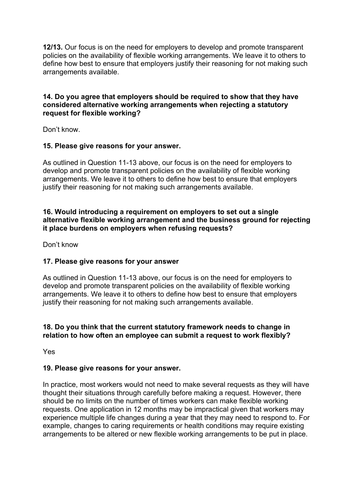**12/13.** Our focus is on the need for employers to develop and promote transparent policies on the availability of flexible working arrangements. We leave it to others to define how best to ensure that employers justify their reasoning for not making such arrangements available.

## **14. Do you agree that employers should be required to show that they have considered alternative working arrangements when rejecting a statutory request for flexible working?**

Don't know.

## **15. Please give reasons for your answer.**

As outlined in Question 11-13 above, our focus is on the need for employers to develop and promote transparent policies on the availability of flexible working arrangements. We leave it to others to define how best to ensure that employers justify their reasoning for not making such arrangements available.

#### **16. Would introducing a requirement on employers to set out a single alternative flexible working arrangement and the business ground for rejecting it place burdens on employers when refusing requests?**

Don't know

## **17. Please give reasons for your answer**

As outlined in Question 11-13 above, our focus is on the need for employers to develop and promote transparent policies on the availability of flexible working arrangements. We leave it to others to define how best to ensure that employers justify their reasoning for not making such arrangements available.

## **18. Do you think that the current statutory framework needs to change in relation to how often an employee can submit a request to work flexibly?**

Yes

## **19. Please give reasons for your answer.**

In practice, most workers would not need to make several requests as they will have thought their situations through carefully before making a request. However, there should be no limits on the number of times workers can make flexible working requests. One application in 12 months may be impractical given that workers may experience multiple life changes during a year that they may need to respond to. For example, changes to caring requirements or health conditions may require existing arrangements to be altered or new flexible working arrangements to be put in place.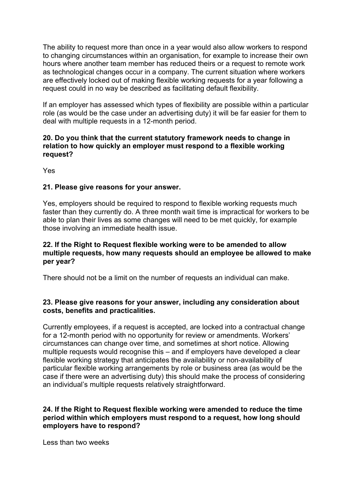The ability to request more than once in a year would also allow workers to respond to changing circumstances within an organisation, for example to increase their own hours where another team member has reduced theirs or a request to remote work as technological changes occur in a company. The current situation where workers are effectively locked out of making flexible working requests for a year following a request could in no way be described as facilitating default flexibility.

If an employer has assessed which types of flexibility are possible within a particular role (as would be the case under an advertising duty) it will be far easier for them to deal with multiple requests in a 12-month period.

## **20. Do you think that the current statutory framework needs to change in relation to how quickly an employer must respond to a flexible working request?**

Yes

## **21. Please give reasons for your answer.**

Yes, employers should be required to respond to flexible working requests much faster than they currently do. A three month wait time is impractical for workers to be able to plan their lives as some changes will need to be met quickly, for example those involving an immediate health issue.

## **22. If the Right to Request flexible working were to be amended to allow multiple requests, how many requests should an employee be allowed to make per year?**

There should not be a limit on the number of requests an individual can make.

## **23. Please give reasons for your answer, including any consideration about costs, benefits and practicalities.**

Currently employees, if a request is accepted, are locked into a contractual change for a 12-month period with no opportunity for review or amendments. Workers' circumstances can change over time, and sometimes at short notice. Allowing multiple requests would recognise this – and if employers have developed a clear flexible working strategy that anticipates the availability or non-availability of particular flexible working arrangements by role or business area (as would be the case if there were an advertising duty) this should make the process of considering an individual's multiple requests relatively straightforward.

## **24. If the Right to Request flexible working were amended to reduce the time period within which employers must respond to a request, how long should employers have to respond?**

Less than two weeks